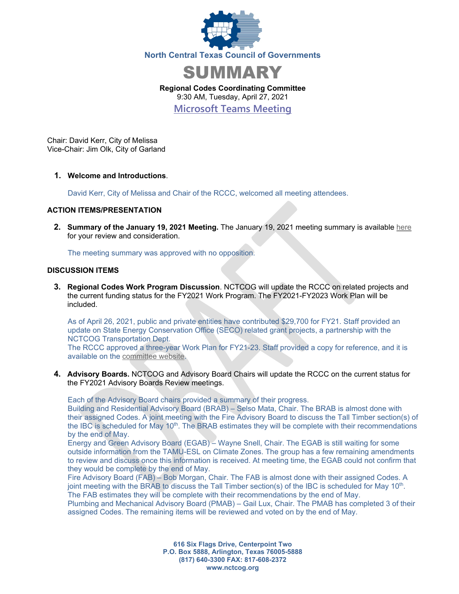



**Regional Codes Coordinating Committee** 9:30 AM, Tuesday, April 27, 2021

**[Microsoft Teams Meeting](https://gcc01.safelinks.protection.outlook.com/ap/t-59584e83/?url=https%3A%2F%2Fteams.microsoft.com%2Fl%2Fmeetup-join%2F19%253ameeting_Y2VjOGM1ZTQtOGQzYi00ZGUyLTgwNWEtZjU0MjY5NjBkZjli%2540thread.v2%2F0%3Fcontext%3D%257b%2522Tid%2522%253a%25222f5e7ebc-22b0-4fbe-934c-aabddb4e29b1%2522%252c%2522Oid%2522%253a%2522e36755e2-eefa-4b02-b9cc-4498875cd36a%2522%257d&data=02%7C01%7CCHorner%40nctcog.org%7C0402abe14a0247737f7908d858b65d81%7C2f5e7ebc22b04fbe934caabddb4e29b1%7C0%7C0%7C637356887577784016&sdata=X9TT%2F2qgcBD%2FkZUbx1Y8yYqVPGRBj8BWWJnQmwHNIpA%3D&reserved=0)**

Chair: David Kerr, City of Melissa Vice-Chair: Jim Olk, City of Garland

**1. Welcome and Introductions**.

David Kerr, City of Melissa and Chair of the RCCC, welcomed all meeting attendees.

## **ACTION ITEMS/PRESENTATION**

**2. Summary of the January 19, 2021 Meeting.** The January 19, 2021 meeting summary is available [here](https://www.nctcog.org/nctcg/media/Environment-and-Development/Committee%20Documents/RCCC/FY2021/Summary-and-Attendance.pdf?ext=.pdf) for your review and consideration.

The meeting summary was approved with no opposition.

## **DISCUSSION ITEMS**

**3. Regional Codes Work Program Discussion**. NCTCOG will update the RCCC on related projects and the current funding status for the FY2021 Work Program. The FY2021-FY2023 Work Plan will be included.

As of April 26, 2021, public and private entities have contributed \$29,700 for FY21. Staff provided an update on State Energy Conservation Office (SECO) related grant projects, a partnership with the NCTCOG Transportation Dept.

The RCCC approved a three-year Work Plan for FY21-23. Staff provided a copy for reference, and it is available on the [committee website.](https://www.nctcog.org/envir/committees/regional-codes-coordinating-committee)

**4. Advisory Boards.** NCTCOG and Advisory Board Chairs will update the RCCC on the current status for the FY2021 Advisory Boards Review meetings.

Each of the Advisory Board chairs provided a summary of their progress.

Building and Residential Advisory Board (BRAB) – Selso Mata, Chair. The BRAB is almost done with their assigned Codes. A joint meeting with the Fire Advisory Board to discuss the Tall Timber section(s) of the IBC is scheduled for May  $10<sup>th</sup>$ . The BRAB estimates they will be complete with their recommendations by the end of May.

Energy and Green Advisory Board (EGAB) – Wayne Snell, Chair. The EGAB is still waiting for some outside information from the TAMU-ESL on Climate Zones. The group has a few remaining amendments to review and discuss once this information is received. At meeting time, the EGAB could not confirm that they would be complete by the end of May.

Fire Advisory Board (FAB) – Bob Morgan, Chair. The FAB is almost done with their assigned Codes. A joint meeting with the BRAB to discuss the Tall Timber section(s) of the IBC is scheduled for May 10<sup>th</sup>. The FAB estimates they will be complete with their recommendations by the end of May.

Plumbing and Mechanical Advisory Board (PMAB) – Gail Lux, Chair. The PMAB has completed 3 of their assigned Codes. The remaining items will be reviewed and voted on by the end of May.

> **616 Six Flags Drive, Centerpoint Two P.O. Box 5888, Arlington, Texas 76005-5888 (817) 640-3300 FAX: 817-608-2372 www.nctcog.org**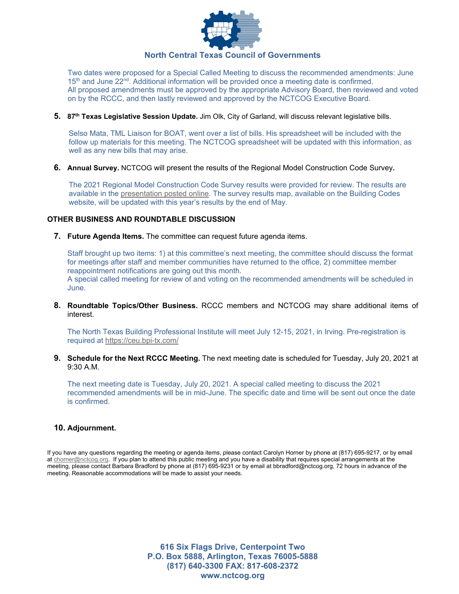

Two dates were proposed for a Special Called Meeting to discuss the recommended amendments: June  $15<sup>th</sup>$  and June 22<sup>nd</sup>. Additional information will be provided once a meeting date is confirmed. All proposed amendments must be approved by the appropriate Advisory Board, then reviewed and voted on by the RCCC, and then lastly reviewed and approved by the NCTCOG Executive Board.

**5. 87th Texas Legislative Session Update.** Jim Olk, City of Garland, will discuss relevant legislative bills.

Selso Mata, TML Liaison for BOAT, went over a list of bills. His spreadsheet will be included with the follow up materials for this meeting. The NCTCOG spreadsheet will be updated with this information, as well as any new bills that may arise.

**6. Annual Survey.** NCTCOG will present the results of the Regional Model Construction Code Survey**.**

The 2021 Regional Model Construction Code Survey results were provided for review. The results are available in the [presentation posted online.](https://www.nctcog.org/nctcg/media/Environment-and-Development/Committee%20Documents/RCCC/FY2021/RCCC-Slides_04272021.pdf?ext=.pdf) The survey results map, available on the Building Codes website, will be updated with this year's results by the end of May.

## **OTHER BUSINESS AND ROUNDTABLE DISCUSSION**

**7. Future Agenda Items.** The committee can request future agenda items.

Staff brought up two items: 1) at this committee's next meeting, the committee should discuss the format for meetings after staff and member communities have returned to the office, 2) committee member reappointment notifications are going out this month. A special called meeting for review of and voting on the recommended amendments will be scheduled in June.

**8. Roundtable Topics/Other Business.** RCCC members and NCTCOG may share additional items of interest.

The North Texas Building Professional Institute will meet July 12-15, 2021, in Irving. Pre-registration is required at<https://ceu.bpi-tx.com/>

**9. Schedule for the Next RCCC Meeting.** The next meeting date is scheduled for Tuesday, July 20, 2021 at 9:30 A.M.

The next meeting date is Tuesday, July 20, 2021. A special called meeting to discuss the 2021 recommended amendments will be in mid-June. The specific date and time will be sent out once the date is confirmed.

## **10. Adjournment.**

If you have any questions regarding the meeting or agenda items, please contact Carolyn Horner by phone at (817) 695-9217, or by email at [chorner@nctcog.org.](mailto:chorner@nctcog.org) If you plan to attend this public meeting and you have a disability that requires special arrangements at the meeting, please contact Barbara Bradford by phone at (817) 695-9231 or by email at bbradford@nctcog.org, 72 hours in advance of the meeting. Reasonable accommodations will be made to assist your needs.

> **616 Six Flags Drive, Centerpoint Two P.O. Box 5888, Arlington, Texas 76005-5888 (817) 640-3300 FAX: 817-608-2372 www.nctcog.org**